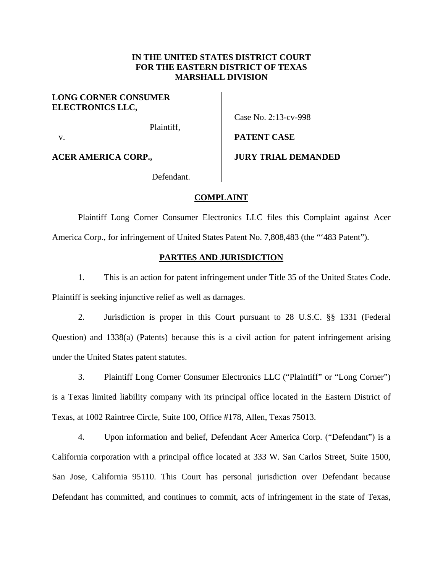## **IN THE UNITED STATES DISTRICT COURT FOR THE EASTERN DISTRICT OF TEXAS MARSHALL DIVISION**

## **LONG CORNER CONSUMER ELECTRONICS LLC,**

Plaintiff,

Case No. 2:13-cv-998

**PATENT CASE** 

v.

**ACER AMERICA CORP.,** 

**JURY TRIAL DEMANDED**

Defendant.

## **COMPLAINT**

 Plaintiff Long Corner Consumer Electronics LLC files this Complaint against Acer America Corp., for infringement of United States Patent No. 7,808,483 (the "'483 Patent").

## **PARTIES AND JURISDICTION**

1. This is an action for patent infringement under Title 35 of the United States Code. Plaintiff is seeking injunctive relief as well as damages.

2. Jurisdiction is proper in this Court pursuant to 28 U.S.C. §§ 1331 (Federal Question) and 1338(a) (Patents) because this is a civil action for patent infringement arising under the United States patent statutes.

3. Plaintiff Long Corner Consumer Electronics LLC ("Plaintiff" or "Long Corner") is a Texas limited liability company with its principal office located in the Eastern District of Texas, at 1002 Raintree Circle, Suite 100, Office #178, Allen, Texas 75013.

4. Upon information and belief, Defendant Acer America Corp. ("Defendant") is a California corporation with a principal office located at 333 W. San Carlos Street, Suite 1500, San Jose, California 95110. This Court has personal jurisdiction over Defendant because Defendant has committed, and continues to commit, acts of infringement in the state of Texas,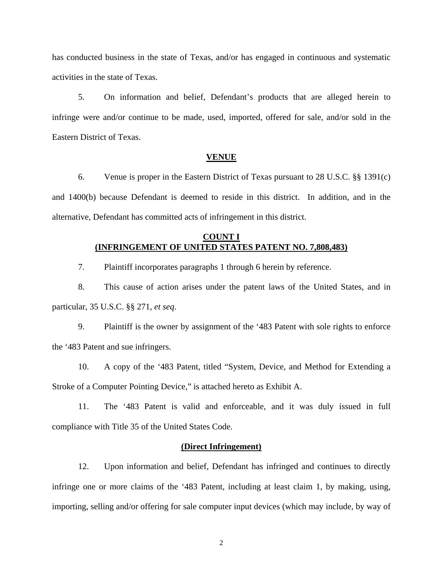has conducted business in the state of Texas, and/or has engaged in continuous and systematic activities in the state of Texas.

5. On information and belief, Defendant's products that are alleged herein to infringe were and/or continue to be made, used, imported, offered for sale, and/or sold in the Eastern District of Texas.

### **VENUE**

6. Venue is proper in the Eastern District of Texas pursuant to 28 U.S.C. §§ 1391(c) and 1400(b) because Defendant is deemed to reside in this district. In addition, and in the alternative, Defendant has committed acts of infringement in this district.

# **COUNT I (INFRINGEMENT OF UNITED STATES PATENT NO. 7,808,483)**

7. Plaintiff incorporates paragraphs 1 through 6 herein by reference.

8. This cause of action arises under the patent laws of the United States, and in particular, 35 U.S.C. §§ 271, *et seq*.

9. Plaintiff is the owner by assignment of the '483 Patent with sole rights to enforce the '483 Patent and sue infringers.

10. A copy of the '483 Patent, titled "System, Device, and Method for Extending a Stroke of a Computer Pointing Device," is attached hereto as Exhibit A.

11. The '483 Patent is valid and enforceable, and it was duly issued in full compliance with Title 35 of the United States Code.

## **(Direct Infringement)**

12. Upon information and belief, Defendant has infringed and continues to directly infringe one or more claims of the '483 Patent, including at least claim 1, by making, using, importing, selling and/or offering for sale computer input devices (which may include, by way of

2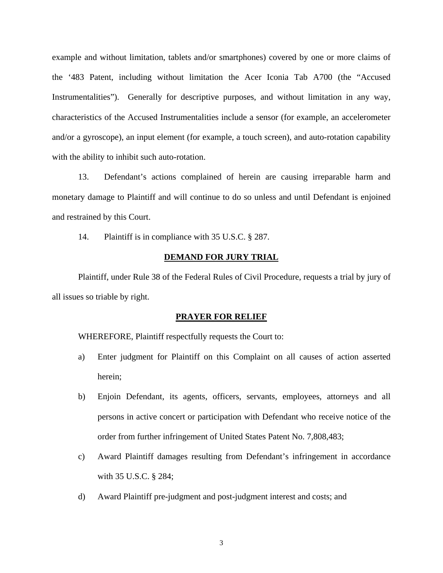example and without limitation, tablets and/or smartphones) covered by one or more claims of the '483 Patent, including without limitation the Acer Iconia Tab A700 (the "Accused Instrumentalities"). Generally for descriptive purposes, and without limitation in any way, characteristics of the Accused Instrumentalities include a sensor (for example, an accelerometer and/or a gyroscope), an input element (for example, a touch screen), and auto-rotation capability with the ability to inhibit such auto-rotation.

13. Defendant's actions complained of herein are causing irreparable harm and monetary damage to Plaintiff and will continue to do so unless and until Defendant is enjoined and restrained by this Court.

14. Plaintiff is in compliance with 35 U.S.C. § 287.

## **DEMAND FOR JURY TRIAL**

 Plaintiff, under Rule 38 of the Federal Rules of Civil Procedure, requests a trial by jury of all issues so triable by right.

#### **PRAYER FOR RELIEF**

WHEREFORE, Plaintiff respectfully requests the Court to:

- a) Enter judgment for Plaintiff on this Complaint on all causes of action asserted herein;
- b) Enjoin Defendant, its agents, officers, servants, employees, attorneys and all persons in active concert or participation with Defendant who receive notice of the order from further infringement of United States Patent No. 7,808,483;
- c) Award Plaintiff damages resulting from Defendant's infringement in accordance with 35 U.S.C. § 284;
- d) Award Plaintiff pre-judgment and post-judgment interest and costs; and